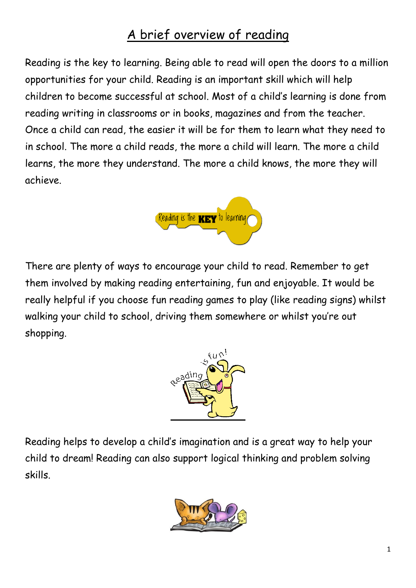# A brief overview of reading

Reading is the key to learning. Being able to read will open the doors to a million opportunities for your child. Reading is an important skill which will help children to become successful at school. Most of a child's learning is done from reading writing in classrooms or in books, magazines and from the teacher. Once a child can read, the easier it will be for them to learn what they need to in school. The more a child reads, the more a child will learn. The more a child learns, the more they understand. The more a child knows, the more they will achieve.



There are plenty of ways to encourage your child to read. Remember to get them involved by making reading entertaining, fun and enjoyable. It would be really helpful if you choose fun reading games to play (like reading signs) whilst walking your child to school, driving them somewhere or whilst you're out shopping.



Reading helps to develop a child's [imagination a](http://www.1stplace.uk.com/the-importance-of-imagination-and-creativity-in-childrens-development/)nd is a great way to help your child to dream! Reading can also support logical thinking and problem solving skills.

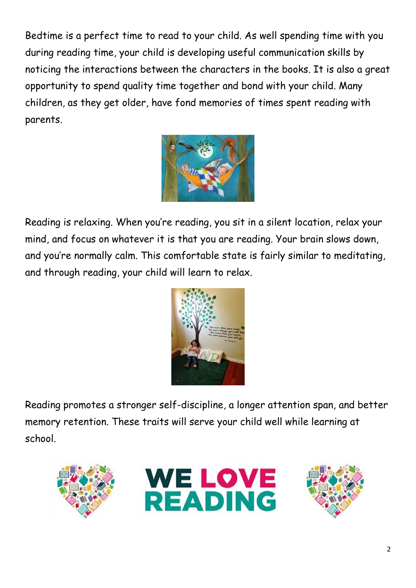Bedtime is a perfect time to read to your child. As well spending time with you during reading time, your child is developing useful communication skills by noticing the interactions between the characters in the books. It is also a great opportunity to spend quality time together and bond with your child. Many children, as they get older, have fond memories of times spent reading with parents.



Reading is relaxing. When you're reading, you sit in a silent location, relax your mind, and focus on whatever it is that you are reading. Your brain slows down, and you're normally calm. This comfortable state is fairly similar to meditating, and through reading, your child will learn to relax.



Reading promotes a stronger self-discipline, a longer attention span, and better memory retention. These traits will serve your child well while learning at school.

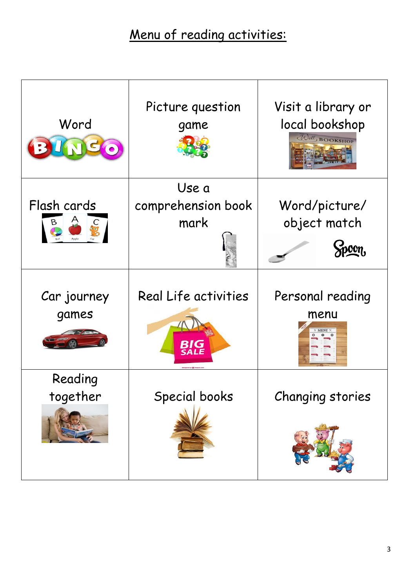| Word<br>B<br>O       | Picture question<br>game            | Visit a library or<br>local bookshop<br>Well BOOKSHOP |
|----------------------|-------------------------------------|-------------------------------------------------------|
| Flash cards          | Use a<br>comprehension book<br>mark | Word/picture/<br>object match                         |
| Car journey<br>games | Real Life activities                | Personal reading<br>menu<br>$\times$ MENU $\times$    |
| Reading<br>together  | Special books                       | Changing stories                                      |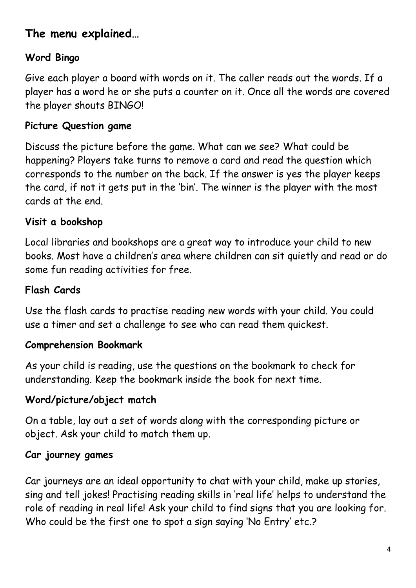# **The menu explained…**

# **Word Bingo**

Give each player a board with words on it. The caller reads out the words. If a player has a word he or she puts a counter on it. Once all the words are covered the player shouts BINGO!

# **Picture Question game**

Discuss the picture before the game. What can we see? What could be happening? Players take turns to remove a card and read the question which corresponds to the number on the back. If the answer is yes the player keeps the card, if not it gets put in the 'bin'. The winner is the player with the most cards at the end.

#### **Visit a bookshop**

Local libraries and bookshops are a great way to introduce your child to new books. Most have a children's area where children can sit quietly and read or do some fun reading activities for free.

# **Flash Cards**

Use the flash cards to practise reading new words with your child. You could use a timer and set a challenge to see who can read them quickest.

#### **Comprehension Bookmark**

As your child is reading, use the questions on the bookmark to check for understanding. Keep the bookmark inside the book for next time.

# **Word/picture/object match**

On a table, lay out a set of words along with the corresponding picture or object. Ask your child to match them up.

#### **Car journey games**

Car journeys are an ideal opportunity to chat with your child, make up stories, sing and tell jokes! Practising reading skills in 'real life' helps to understand the role of reading in real life! Ask your child to find signs that you are looking for. Who could be the first one to spot a sign saying 'No Entry' etc.?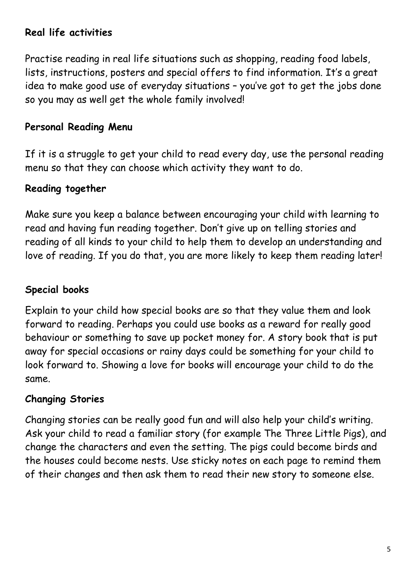# **Real life activities**

Practise reading in real life situations such as shopping, reading food labels, lists, instructions, posters and special offers to find information. It's a great idea to make good use of everyday situations – you've got to get the jobs done so you may as well get the whole family involved!

#### **Personal Reading Menu**

If it is a struggle to get your child to read every day, use the personal reading menu so that they can choose which activity they want to do.

# **Reading together**

Make sure you keep a balance between encouraging your child with learning to read and having fun reading together. Don't give up on telling stories and reading of all kinds to your child to help them to develop an understanding and love of reading. If you do that, you are more likely to keep them reading later!

# **Special books**

Explain to your child how special books are so that they value them and look forward to reading. Perhaps you could use books as a reward for really good behaviour or something to save up pocket money for. A story book that is put away for special occasions or rainy days could be something for your child to look forward to. Showing a love for books will encourage your child to do the same.

# **Changing Stories**

Changing stories can be really good fun and will also help your child's writing. Ask your child to read a familiar story (for example The Three Little Pigs), and change the characters and even the setting. The pigs could become birds and the houses could become nests. Use sticky notes on each page to remind them of their changes and then ask them to read their new story to someone else.